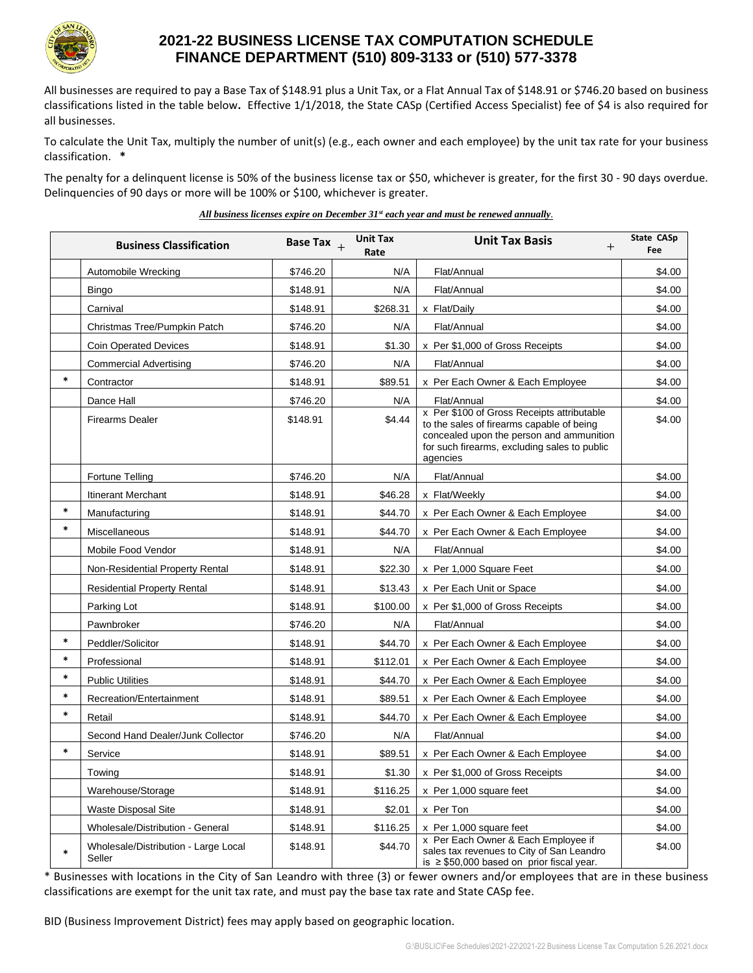

## **2021-22 BUSINESS LICENSE TAX COMPUTATION SCHEDULE FINANCE DEPARTMENT (510) 809-3133 or (510) 577-3378**

All businesses are required to pay a Base Tax of \$148.91 plus a Unit Tax, or a Flat Annual Tax of \$148.91 or \$746.20 based on business classifications listed in the table below**.** Effective 1/1/2018, the State CASp (Certified Access Specialist) fee of \$4 is also required for all businesses.

To calculate the Unit Tax, multiply the number of unit(s) (e.g., each owner and each employee) by the unit tax rate for your business classification. **\***

The penalty for a delinquent license is 50% of the business license tax or \$50, whichever is greater, for the first 30 - 90 days overdue. Delinquencies of 90 days or more will be 100% or \$100, whichever is greater.

*All business licenses expire on December 31st each year and must be renewed annually.*

|        | <b>Business Classification</b>                 | Base Tax $_{+}$ | <b>Unit Tax</b><br>Rate | <b>Unit Tax Basis</b><br>$^{+}$                                                                                                                                                                 | <b>State CASp</b><br>Fee |
|--------|------------------------------------------------|-----------------|-------------------------|-------------------------------------------------------------------------------------------------------------------------------------------------------------------------------------------------|--------------------------|
|        | Automobile Wrecking                            | \$746.20        | N/A                     | Flat/Annual                                                                                                                                                                                     | \$4.00                   |
|        | <b>Bingo</b>                                   | \$148.91        | N/A                     | Flat/Annual                                                                                                                                                                                     | \$4.00                   |
|        | Carnival                                       | \$148.91        | \$268.31                | x Flat/Daily                                                                                                                                                                                    | \$4.00                   |
|        | Christmas Tree/Pumpkin Patch                   | \$746.20        | N/A                     | Flat/Annual                                                                                                                                                                                     | \$4.00                   |
|        | <b>Coin Operated Devices</b>                   | \$148.91        | \$1.30                  | x Per \$1,000 of Gross Receipts                                                                                                                                                                 | \$4.00                   |
|        | <b>Commercial Advertising</b>                  | \$746.20        | N/A                     | Flat/Annual                                                                                                                                                                                     | \$4.00                   |
| $\ast$ | Contractor                                     | \$148.91        | \$89.51                 | x Per Each Owner & Each Employee                                                                                                                                                                | \$4.00                   |
|        | Dance Hall                                     | \$746.20        | N/A                     | Flat/Annual                                                                                                                                                                                     | \$4.00                   |
|        | <b>Firearms Dealer</b>                         | \$148.91        | \$4.44                  | x Per \$100 of Gross Receipts attributable<br>to the sales of firearms capable of being<br>concealed upon the person and ammunition<br>for such firearms, excluding sales to public<br>agencies | \$4.00                   |
|        | Fortune Telling                                | \$746.20        | N/A                     | Flat/Annual                                                                                                                                                                                     | \$4.00                   |
|        | Itinerant Merchant                             | \$148.91        | \$46.28                 | x Flat/Weekly                                                                                                                                                                                   | \$4.00                   |
| $\ast$ | Manufacturing                                  | \$148.91        | \$44.70                 | x Per Each Owner & Each Employee                                                                                                                                                                | \$4.00                   |
| $\ast$ | Miscellaneous                                  | \$148.91        | \$44.70                 | x Per Each Owner & Each Employee                                                                                                                                                                | \$4.00                   |
|        | Mobile Food Vendor                             | \$148.91        | N/A                     | Flat/Annual                                                                                                                                                                                     | \$4.00                   |
|        | Non-Residential Property Rental                | \$148.91        | \$22.30                 | x Per 1,000 Square Feet                                                                                                                                                                         | \$4.00                   |
|        | <b>Residential Property Rental</b>             | \$148.91        | \$13.43                 | x Per Each Unit or Space                                                                                                                                                                        | \$4.00                   |
|        | Parking Lot                                    | \$148.91        | \$100.00                | x Per \$1,000 of Gross Receipts                                                                                                                                                                 | \$4.00                   |
|        | Pawnbroker                                     | \$746.20        | N/A                     | Flat/Annual                                                                                                                                                                                     | \$4.00                   |
| $\ast$ | Peddler/Solicitor                              | \$148.91        | \$44.70                 | x Per Each Owner & Each Employee                                                                                                                                                                | \$4.00                   |
| $\ast$ | Professional                                   | \$148.91        | \$112.01                | x Per Each Owner & Each Employee                                                                                                                                                                | \$4.00                   |
| $\ast$ | <b>Public Utilities</b>                        | \$148.91        | \$44.70                 | x Per Each Owner & Each Employee                                                                                                                                                                | \$4.00                   |
| $\ast$ | Recreation/Entertainment                       | \$148.91        | \$89.51                 | x Per Each Owner & Each Employee                                                                                                                                                                | \$4.00                   |
| $\ast$ | Retail                                         | \$148.91        | \$44.70                 | x Per Each Owner & Each Employee                                                                                                                                                                | \$4.00                   |
|        | Second Hand Dealer/Junk Collector              | \$746.20        | N/A                     | Flat/Annual                                                                                                                                                                                     | \$4.00                   |
| $\ast$ | Service                                        | \$148.91        | \$89.51                 | x Per Each Owner & Each Employee                                                                                                                                                                | \$4.00                   |
|        | Towing                                         | \$148.91        | \$1.30                  | x Per \$1,000 of Gross Receipts                                                                                                                                                                 | \$4.00                   |
|        | Warehouse/Storage                              | \$148.91        | \$116.25                | x Per 1,000 square feet                                                                                                                                                                         | \$4.00                   |
|        | <b>Waste Disposal Site</b>                     | \$148.91        | \$2.01                  | x Per Ton                                                                                                                                                                                       | \$4.00                   |
|        | Wholesale/Distribution - General               | \$148.91        | \$116.25                | x Per 1,000 square feet                                                                                                                                                                         | \$4.00                   |
| $\ast$ | Wholesale/Distribution - Large Local<br>Seller | \$148.91        | \$44.70                 | x Per Each Owner & Each Employee if<br>sales tax revenues to City of San Leandro<br>is $\geq$ \$50,000 based on prior fiscal year.                                                              | \$4.00                   |

\* Businesses with locations in the City of San Leandro with three (3) or fewer owners and/or employees that are in these business classifications are exempt for the unit tax rate, and must pay the base tax rate and State CASp fee.

BID (Business Improvement District) fees may apply based on geographic location.